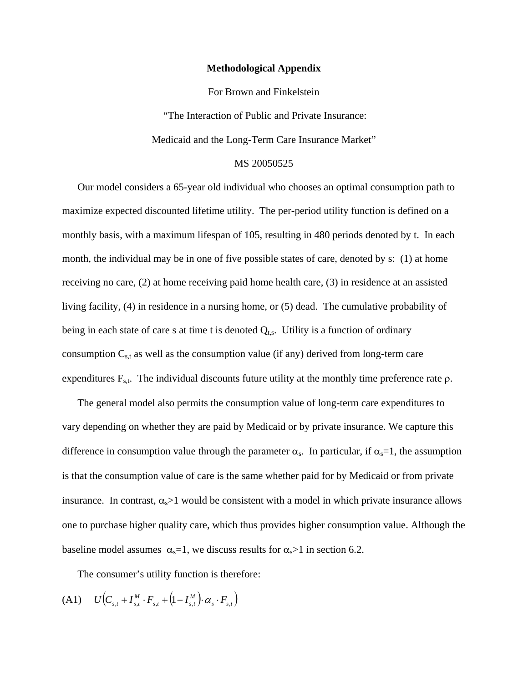## **Methodological Appendix**

For Brown and Finkelstein

"The Interaction of Public and Private Insurance:

Medicaid and the Long-Term Care Insurance Market"

## MS 20050525

Our model considers a 65-year old individual who chooses an optimal consumption path to maximize expected discounted lifetime utility. The per-period utility function is defined on a monthly basis, with a maximum lifespan of 105, resulting in 480 periods denoted by t. In each month, the individual may be in one of five possible states of care, denoted by s: (1) at home receiving no care, (2) at home receiving paid home health care, (3) in residence at an assisted living facility, (4) in residence in a nursing home, or (5) dead. The cumulative probability of being in each state of care s at time t is denoted  $Q_{t,s}$ . Utility is a function of ordinary consumption  $C_{s,t}$  as well as the consumption value (if any) derived from long-term care expenditures  $F_{s,t}$ . The individual discounts future utility at the monthly time preference rate  $\rho$ .

The general model also permits the consumption value of long-term care expenditures to vary depending on whether they are paid by Medicaid or by private insurance. We capture this difference in consumption value through the parameter  $\alpha_s$ . In particular, if  $\alpha_s = 1$ , the assumption is that the consumption value of care is the same whether paid for by Medicaid or from private insurance. In contrast,  $\alpha_s$  1 would be consistent with a model in which private insurance allows one to purchase higher quality care, which thus provides higher consumption value. Although the baseline model assumes  $\alpha_s=1$ , we discuss results for  $\alpha_s>1$  in section 6.2.

The consumer's utility function is therefore:

(A1)  $U(C_{s,t} + I_{s,t}^M \cdot F_{s,t} + (1 - I_{s,t}^M) \cdot \alpha_s \cdot F_{s,t})$  $U(C_{s,t} + I_{s,t}^M \cdot F_{s,t} + (1 - I_{s,t}^M) \cdot \alpha_s \cdot F_{s,t})$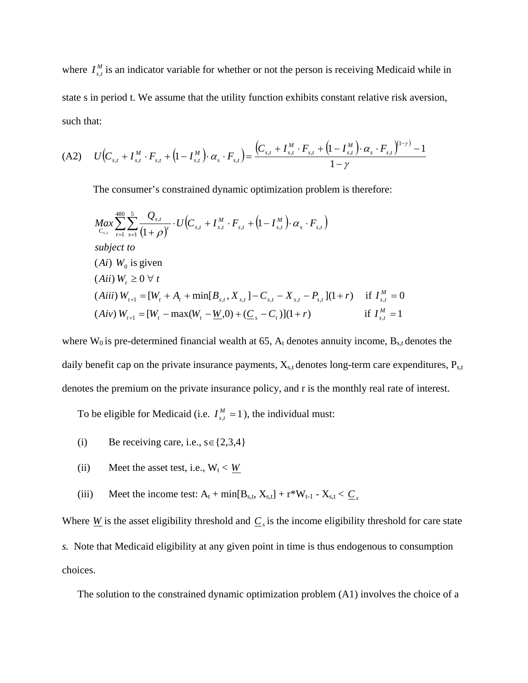where  $I_{s,t}^M$  is an indicator variable for whether or not the person is receiving Medicaid while in state s in period t. We assume that the utility function exhibits constant relative risk aversion, such that:

$$
(A2) \qquad U\Big(C_{s,t} + I_{s,t}^M \cdot F_{s,t} + \Big(1 - I_{s,t}^M\Big) \cdot \alpha_s \cdot F_{s,t}\Big) = \frac{\Big(C_{s,t} + I_{s,t}^M \cdot F_{s,t} + \Big(1 - I_{s,t}^M\Big) \cdot \alpha_s \cdot F_{s,t}\Big)^{\Big(1 - \gamma\Big)} - 1}{1 - \gamma}
$$

The consumer's constrained dynamic optimization problem is therefore:

$$
Max \sum_{C_{s,t}}^{480} \sum_{t=1}^{5} \frac{Q_{s,t}}{s} \cdot U(C_{s,t} + I_{s,t}^{M} \cdot F_{s,t} + (1 - I_{s,t}^{M}) \cdot \alpha_{s} \cdot F_{s,t})
$$
  
\nsubject to  
\n(Ai)  $W_0$  is given  
\n(Aii)  $W_t \ge 0 \ \forall t$   
\n(Aiii)  $W_{t+1} = [W_t + A_t + \min[B_{s,t}, X_{s,t}] - C_{s,t} - X_{s,t} - P_{s,t}](1+r)$  if  $I_{s,t}^{M} = 0$   
\n(Aiv)  $W_{t+1} = [W_t - \max(W_t - \underline{W}, 0) + (\underline{C}_s - C_t)](1+r)$  if  $I_{s,t}^{M} = 1$ 

where  $W_0$  is pre-determined financial wealth at 65,  $A_t$  denotes annuity income,  $B_{s,t}$  denotes the daily benefit cap on the private insurance payments,  $X_{s,t}$  denotes long-term care expenditures,  $P_{s,t}$ denotes the premium on the private insurance policy, and r is the monthly real rate of interest.

To be eligible for Medicaid (i.e.  $I_{s,t}^M = 1$ ), the individual must:

- (i) Be receiving care, i.e.,  $s \in \{2,3,4\}$
- (ii) Meet the asset test, i.e.,  $W_t < W$
- (iii) Meet the income test:  $A_t + min[B_{s,t}, X_{s,t}] + r^*W_{t-1} X_{s,t} < \underline{C}_s$

Where  $W$  is the asset eligibility threshold and  $C_s$  is the income eligibility threshold for care state *s.* Note that Medicaid eligibility at any given point in time is thus endogenous to consumption choices.

The solution to the constrained dynamic optimization problem (A1) involves the choice of a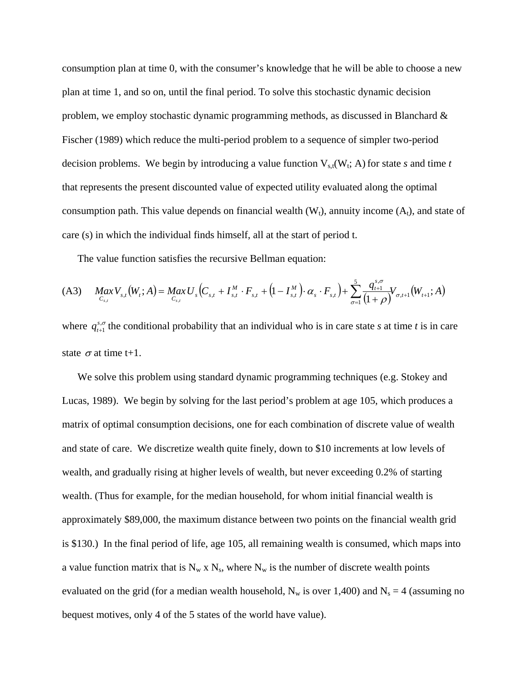consumption plan at time 0, with the consumer's knowledge that he will be able to choose a new plan at time 1, and so on, until the final period. To solve this stochastic dynamic decision problem, we employ stochastic dynamic programming methods, as discussed in Blanchard & Fischer (1989) which reduce the multi-period problem to a sequence of simpler two-period decision problems. We begin by introducing a value function  $V_{s,t}(W_t; A)$  for state *s* and time *t* that represents the present discounted value of expected utility evaluated along the optimal consumption path. This value depends on financial wealth  $(W_t)$ , annuity income  $(A_t)$ , and state of care (s) in which the individual finds himself, all at the start of period t.

The value function satisfies the recursive Bellman equation:

$$
(A3) \quad Max \quad V_{s,t}(W_t; A) = Max \quad U_s(C_{s,t} + I_{s,t}^M \cdot F_{s,t} + (1 - I_{s,t}^M) \cdot \alpha_s \cdot F_{s,t}) + \sum_{\sigma=1}^5 \frac{q_{t+1}^{s,\sigma}}{(1+\rho)} V_{\sigma,t+1}(W_{t+1}; A)
$$

where  $q_{t+1}^{s,\sigma}$  the conditional probability that an individual who is in care state *s* at time *t* is in care state  $\sigma$  at time t+1.

We solve this problem using standard dynamic programming techniques (e.g. Stokey and Lucas, 1989). We begin by solving for the last period's problem at age 105, which produces a matrix of optimal consumption decisions, one for each combination of discrete value of wealth and state of care. We discretize wealth quite finely, down to \$10 increments at low levels of wealth, and gradually rising at higher levels of wealth, but never exceeding 0.2% of starting wealth. (Thus for example, for the median household, for whom initial financial wealth is approximately \$89,000, the maximum distance between two points on the financial wealth grid is \$130.) In the final period of life, age 105, all remaining wealth is consumed, which maps into a value function matrix that is  $N_w \times N_s$ , where  $N_w$  is the number of discrete wealth points evaluated on the grid (for a median wealth household,  $N_w$  is over 1,400) and  $N_s = 4$  (assuming no bequest motives, only 4 of the 5 states of the world have value).